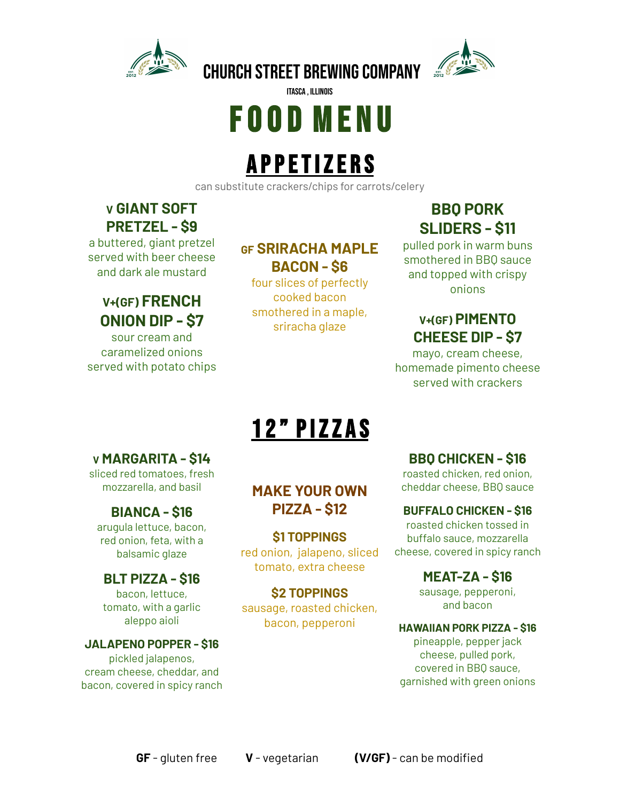



# F O O D M E N U

itasca , illinois

## **APPETIZERS**

can substitute crackers/chips for carrots/celery

### **V GIANT SOFT PRETZEL - \$9**

a buttered, giant pretzel served with beer cheese and dark ale mustard

### **V+(GF) FRENCH ONION DIP - \$7**

sour cream and caramelized onions served with potato chips

#### **GF SRIRACHA MAPLE BACON - \$6**

four slices of perfectly cooked bacon smothered in a maple, sriracha glaze

## **BBQ PORK SLIDERS - \$11**

pulled pork in warm buns smothered in BBQ sauce and topped with crispy onions

### **V+(GF) PIMENTO CHEESE DIP - \$7**

mayo, cream cheese, homemade pimento cheese served with crackers

## 12" PIZZAS

#### **V MARGARITA - \$14**

sliced red tomatoes, fresh mozzarella, and basil

#### **BIANCA - \$16**

arugula lettuce, bacon, red onion, feta, with a balsamic glaze

#### **BLT PIZZA - \$16**

bacon, lettuce, tomato, with a garlic aleppo aioli

### **JALAPENO POPPER - \$16**

pickled jalapenos, cream cheese, cheddar, and bacon, covered in spicy ranch

#### **MAKE YOUR OWN PIZZA - \$12**

#### **\$1 TOPPINGS**

red onion, jalapeno, sliced tomato, extra cheese

#### **\$2 TOPPINGS**

sausage, roasted chicken, bacon, pepperoni

#### **BBQ CHICKEN - \$16**

roasted chicken, red onion, cheddar cheese, BBQ sauce

#### **BUFFALO CHICKEN - \$16**

roasted chicken tossed in buffalo sauce, mozzarella cheese, covered in spicy ranch

## **MEAT-ZA - \$16**

sausage, pepperoni, and bacon

#### **HAWAIIAN PORK PIZZA - \$16**

pineapple, pepper jack cheese, pulled pork, covered in BBQ sauce, garnished with green onions